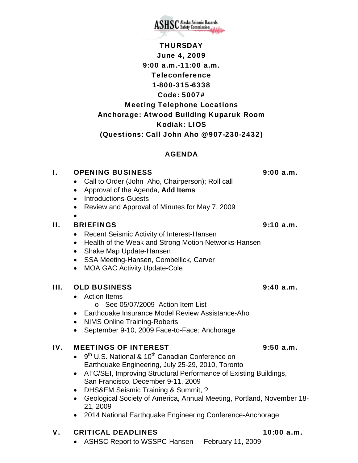**THURSDAY** June 4, 2009 9:00 a.m.-11:00 a.m. Teleconference 1-800-315-6338 Code: 5007# Meeting Telephone Locations Anchorage: Atwood Building Kuparuk Room Kodiak: LIOS (Questions: Call John Aho @ 907-230-2432)

### AGENDA

# I. OPENING BUSINESS 9:00 a.m.

- Call to Order (John Aho, Chairperson); Roll call
- Approval of the Agenda, **Add Items**
- Introductions-Guests
- Review and Approval of Minutes for May 7, 2009
- •

### II. BRIEFINGS 9:10 a.m.

- Recent Seismic Activity of Interest-Hansen
- Health of the Weak and Strong Motion Networks-Hansen
- Shake Map Update-Hansen
- SSA Meeting-Hansen, Combellick, Carver
- MOA GAC Activity Update-Cole

### III. OLD BUSINESS 9:40 a.m.

- Action Items
	- o See 05/07/2009 Action Item List
- Earthquake Insurance Model Review Assistance-Aho
- NIMS Online Training-Roberts
- September 9-10, 2009 Face-to-Face: Anchorage

### IV. MEETINGS OF INTEREST 9:50 a.m.

- $\bullet$  9<sup>th</sup> U.S. National & 10<sup>th</sup> Canadian Conference on Earthquake Engineering, July 25-29, 2010, Toronto
- ATC/SEI, Improving Structural Performance of Existing Buildings, San Francisco, December 9-11, 2009
- DHS&EM Seismic Training & Summit, ?
- Geological Society of America, Annual Meeting, Portland, November 18- 21, 2009
- 2014 National Earthquake Engineering Conference-Anchorage

## V. CRITICAL DEADLINES 10:00 a.m.

• ASHSC Report to WSSPC-Hansen February 11, 2009